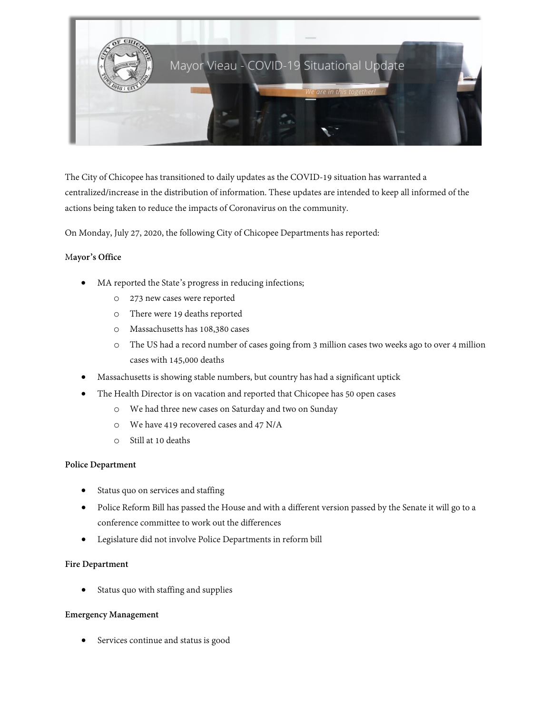

The City of Chicopee has transitioned to daily updates as the COVID-19 situation has warranted a centralized/increase in the distribution of information. These updates are intended to keep all informed of the actions being taken to reduce the impacts of Coronavirus on the community.

On Monday, July 27, 2020, the following City of Chicopee Departments has reported:

## M**ayor's Office**

- MA reported the State's progress in reducing infections;
	- o 273 new cases were reported
	- o There were 19 deaths reported
	- o Massachusetts has 108,380 cases
	- o The US had a record number of cases going from 3 million cases two weeks ago to over 4 million cases with 145,000 deaths
- Massachusetts is showing stable numbers, but country has had a significant uptick
- The Health Director is on vacation and reported that Chicopee has 50 open cases
	- o We had three new cases on Saturday and two on Sunday
	- o We have 419 recovered cases and 47 N/A
	- o Still at 10 deaths

### **Police Department**

- Status quo on services and staffing
- Police Reform Bill has passed the House and with a different version passed by the Senate it will go to a conference committee to work out the differences
- Legislature did not involve Police Departments in reform bill

### **Fire Department**

• Status quo with staffing and supplies

### **Emergency Management**

Services continue and status is good